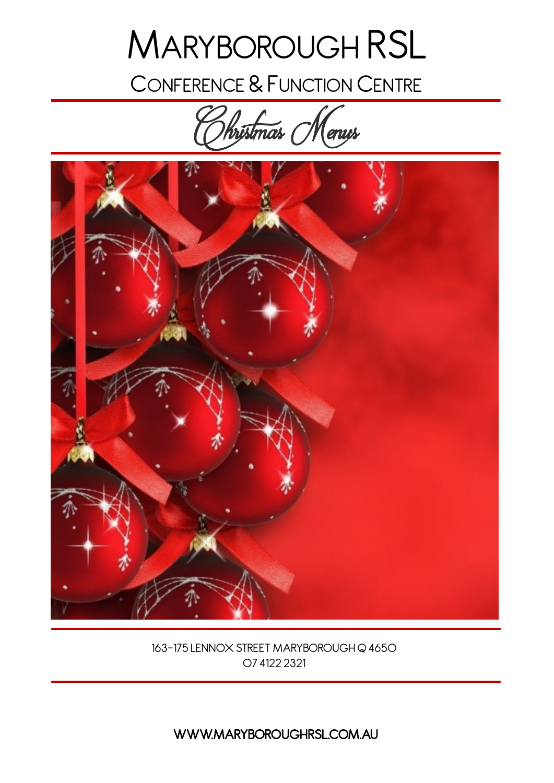# MARYBOROUGH RSL

CONFERENCE & FUNCTION CENTRE

Christmas Menus



163-175 LENNOX STREET MARYBOROUGH Q 4650 07 4122 2321

WWW.MARYBOROUGHRSL.COM.AU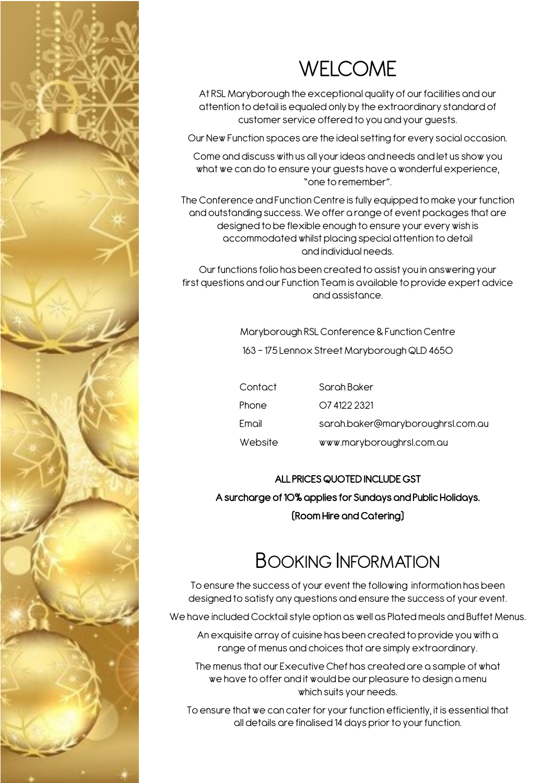

## WELCOME

At RSL Maryborough the exceptional quality of our facilities and our attention to detail is equaled only by the extraordinary standard of customer service offered to you and your guests.

Our New Function spaces are the ideal setting for every social occasion.

Come and discuss with us all your ideas and needs and let us show you what we can do to ensure your guests have a wonderful experience, "one to remember".

The Conference and Function Centre is fully equipped to make your function and outstanding success. We offer a range of event packages that are designed to be flexible enough to ensure your every wish is accommodated whilst placing special attention to detail and individual needs.

Our functions folio has been created to assist you in answering your first questions and our Function Team is available to provide expert advice and assistance.

Maryborough RSL Conference & Function Centre

163 - 175 Lennox Street Maryborough QLD 4650

| Contact | Sarah Baker                       |
|---------|-----------------------------------|
| Phone   | O7 4122 2321                      |
| Email   | sarah.baker@maryboroughrsl.com.au |
| Website | www.maryboroughrsl.com.au         |

#### ALL PRICES QUOTED INCLUDE GST

A surcharge of 10% applies for Sundays and Public Holidays. (Room Hire and Catering)

### BOOKING INFORMATION

To ensure the success of your event the following information has been designed to satisfy any questions and ensure the success of your event.

We have included Cocktail style option as well as Plated meals and Buffet Menus.

An exquisite array of cuisine has been created to provide you with a range of menus and choices that are simply extraordinary.

The menus that our Executive Chef has created are a sample of what we have to offer and it would be our pleasure to design a menu which suits your needs.

To ensure that we can cater for your function efficiently, it is essential that all details are finalised 14 days prior to your function.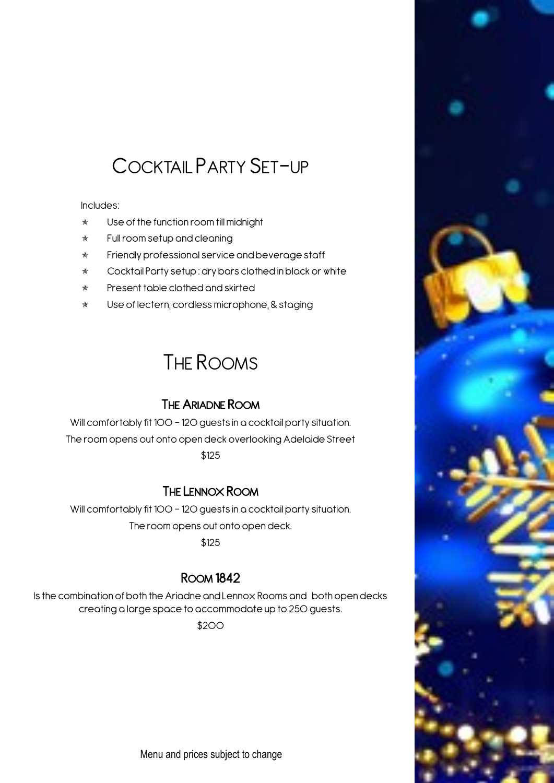### COCKTAIL PARTY SET-UP

Includes:

- $\star$  Use of the function room till midnight
- $\star$  Full room setup and cleaning
- $\star$  Friendly professional service and beverage staff
- Cocktail Party setup : dry bars clothed in black or white
- $*$  Present table clothed and skirted
- \* Use of lectern, cordless microphone, & staging

### THE ROOMS

### THE ARIADNE ROOM

Will comfortably fit 100 - 120 quests in a cocktail party situation. The room opens out onto open deck overlooking Adelaide Street \$125

#### THE LENNOX ROOM

Will comfortably fit 100 - 120 guests in a cocktail party situation. The room opens out onto open deck.

\$125

### ROOM 1842

Is the combination of both the Ariadne and Lennox Rooms and both open decks creating a large space to accommodate up to 250 guests.

\$200

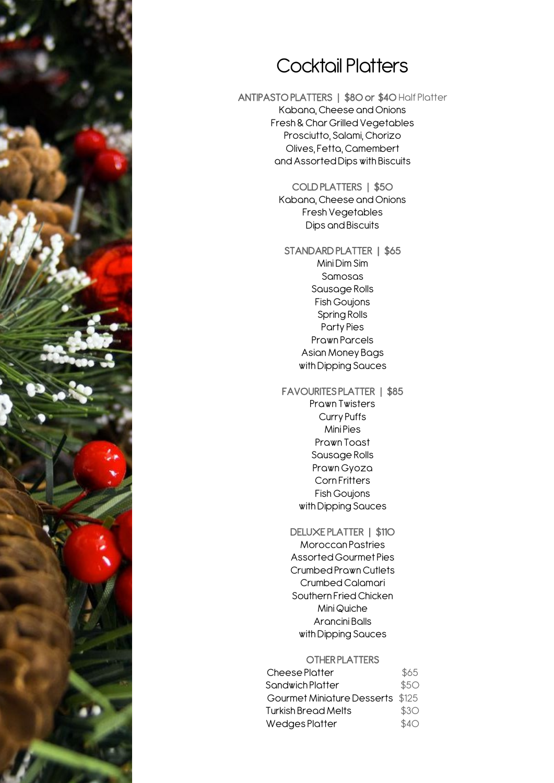

### Cocktail Platters

ANTIPASTO PLATTERS | \$80 or \$40 Half Platter Kabana, Cheese and Onions Fresh & Char Grilled Vegetables Prosciutto, Salami, Chorizo Olives, Fetta, Camembert and Assorted Dips with Biscuits

> COLD PLATTERS | \$50 Kabana, Cheese and Onions Fresh Vegetables Dips and Biscuits

STANDARD PLATTER | \$65 Mini Dim Sim Samosas Sausage Rolls Fish Goujons Spring Rolls Party Pies Prawn Parcels Asian Money Bags with Dipping Sauces

#### FAVOURITES PLATTER | \$85 Prawn Twisters Curry Puffs Mini Pies Prawn Toast Sausage Rolls Prawn Gyoza Corn Fritters Fish Goujons

with Dipping Sauces

#### DELUXE PLATTER | \$110

Moroccan Pastries Assorted Gourmet Pies Crumbed Prawn Cutlets Crumbed Calamari Southern Fried Chicken Mini Quiche Arancini Balls with Dipping Sauces

#### OTHER PLATTERS

| Cheese Platter                   | \$65 |
|----------------------------------|------|
| Sandwich Platter                 | \$5O |
| Gourmet Miniature Desserts \$125 |      |
| Turkish Bread Melts              | \$3O |
| Wedges Platter                   | \$4O |
|                                  |      |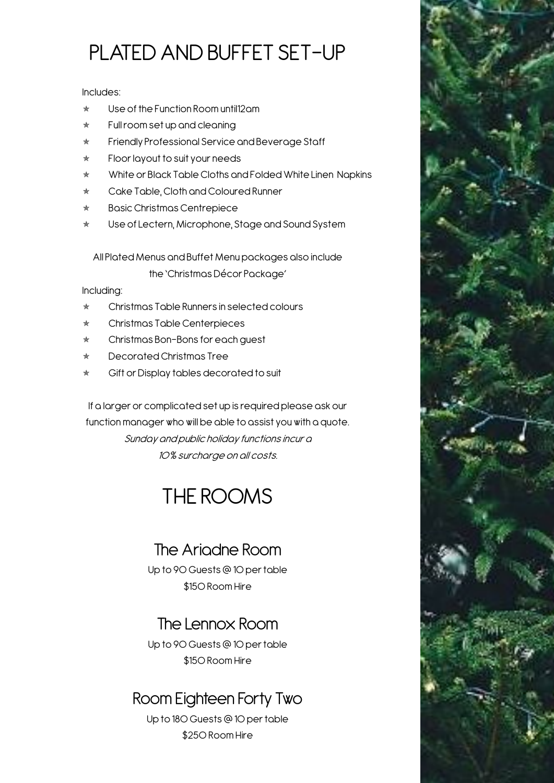## PLATED AND BUFFET SET-UP

Includes:

- $\star$  Use of the Function Room until 12am
- $\star$  Full room set up and cleaning
- \* Friendly Professional Service and Beverage Staff
- \* Floor layout to suit your needs
- White or Black Table Cloths and Folded White Linen Napkins
- \* Cake Table, Cloth and Coloured Runner
- \* Basic Christmas Centrepiece
- Use of Lectern, Microphone, Stage and Sound System

All Plated Menus and Buffet Menu packages also include

the 'Christmas Décor Package'

Including:

- \* Christmas Table Runners in selected colours
- Christmas Table Centerpieces
- \* Christmas Bon-Bons for each guest
- Decorated Christmas Tree
- Gift or Display tables decorated to suit

If a larger or complicated set up is required please ask our function manager who will be able to assist you with a quote. Sunday and public holiday functions incur a 10% surcharge on all costs.

### THE ROOMS

### The Ariadne Room

Up to 90 Guests @ 10 per table \$150 Room Hire

### The Lennox Room

Up to 90 Guests @ 10 per table \$150 Room Hire

### Room Eighteen Forty Two

Up to 180 Guests @ 10 per table \$250 Room Hire

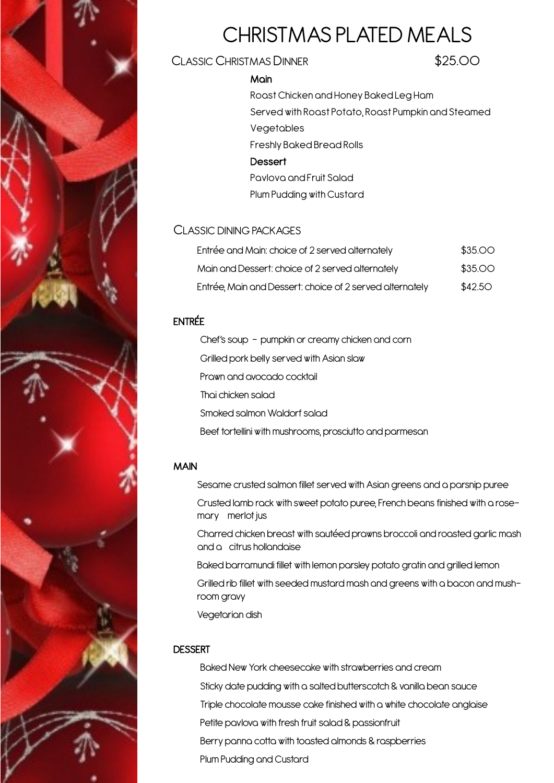

## CHRISTMAS PLATED MEALS

#### CLASSIC CHRISTMAS DINNER \$25.00

#### **Main**

Roast Chicken and Honey Baked Leg Ham Served with Roast Potato, Roast Pumpkin and Steamed **Vegetables** Freshly Baked Bread Rolls **Dessert** Pavlova and Fruit Salad Plum Pudding with Custard

#### CLASSIC DINING PACKAGES

| Entrée and Main: choice of 2 served alternately          | \$35.00 |
|----------------------------------------------------------|---------|
| Main and Dessert: choice of 2 served alternately         | \$35.00 |
| Entrée, Main and Dessert: choice of 2 served alternately | \$42.50 |

#### ENTRÉE

Chef's soup - pumpkin or creamy chicken and corn Grilled pork belly served with Asian slaw Prawn and avocado cocktail Thai chicken salad Smoked salmon Waldorf salad Beef tortellini with mushrooms, prosciutto and parmesan

#### MAIN

Sesame crusted salmon fillet served with Asian greens and a parsnip puree

Crusted lamb rack with sweet potato puree, French beans finished with a rosemary merlot jus

Charred chicken breast with sautéed prawns broccoli and roasted garlic mash and a citrus hollandaise

Baked barramundi fillet with lemon parsley potato gratin and grilled lemon

Grilled rib fillet with seeded mustard mash and greens with a bacon and mushroom gravy

Vegetarian dish

#### **DESSERT**

Baked New York cheesecake with strawberries and cream

Sticky date pudding with a salted butterscotch & vanilla bean sauce

Triple chocolate mousse cake finished with a white chocolate anglaise

Petite pavlova with fresh fruit salad & passionfruit

Berry panna cotta with toasted almonds & raspberries

Plum Pudding and Custard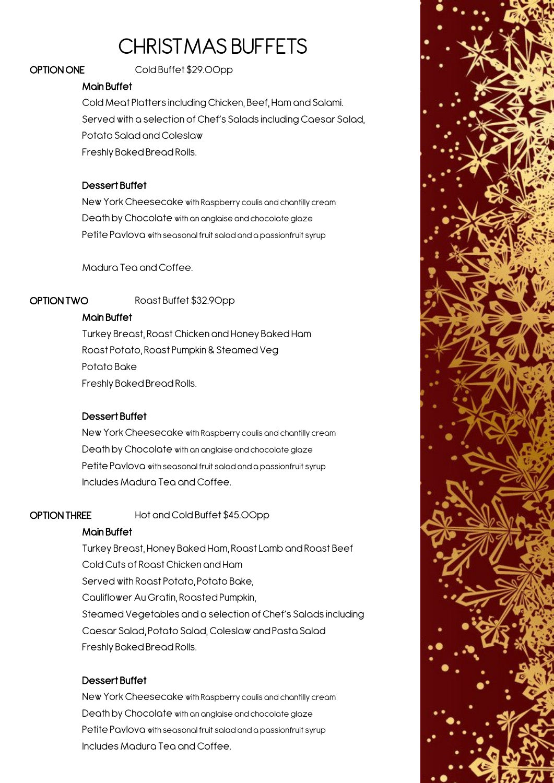### CHRISTMAS BUFFETS

OPTION ONE Cold Buffet \$29.00pp

#### Main Buffet

Cold Meat Platters including Chicken, Beef, Ham and Salami. Served with a selection of Chef's Salads including Caesar Salad, Potato Salad and Coleslaw Freshly Baked Bread Rolls.

#### Dessert Buffet

New York Cheesecake with Raspberry coulis and chantilly cream Death by Chocolate with an anglaise and chocolate glaze Petite Pavlova with seasonal fruit salad and a passionfruit syrup

Madura Tea and Coffee.

OPTION TWO Roast Buffet \$32.90pp

#### Main Buffet

Turkey Breast, Roast Chicken and Honey Baked Ham Roast Potato, Roast Pumpkin & Steamed Veg Potato Bake Freshly Baked Bread Rolls.

#### Dessert Buffet

New York Cheesecake with Raspberry coulis and chantilly cream Death by Chocolate with an anglaise and chocolate glaze Petite Pavlova with seasonal fruit salad and a passionfruit syrup Includes Madura Tea and Coffee.

OPTION THREE Hot and Cold Buffet \$45.00pp

#### Main Buffet

Turkey Breast, Honey Baked Ham, Roast Lamb and Roast Beef Cold Cuts of Roast Chicken and Ham Served with Roast Potato, Potato Bake, Cauliflower Au Gratin, Roasted Pumpkin, Steamed Vegetables and a selection of Chef's Salads including Caesar Salad, Potato Salad, Coleslaw and Pasta Salad Freshly Baked Bread Rolls.

#### Dessert Buffet

New York Cheesecake with Raspberry coulis and chantilly cream Death by Chocolate with an anglaise and chocolate glaze Petite Pavlova with seasonal fruit salad and a passionfruit syrup Includes Madura Tea and Coffee.